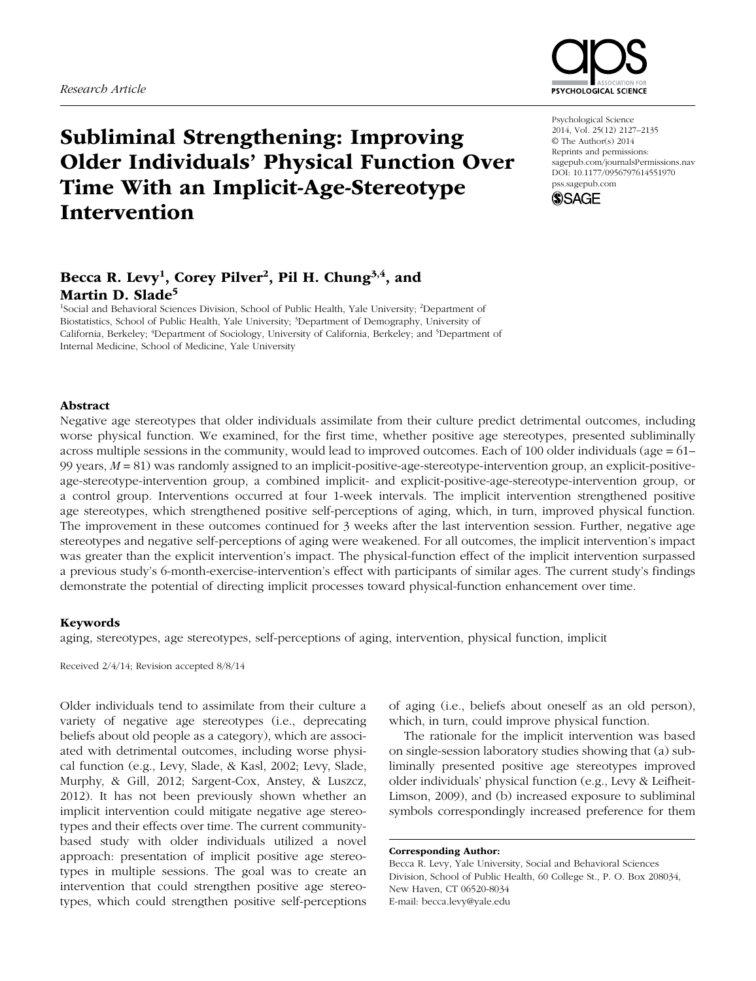

# Subliminal Strengthening: Improving Older Individuals' Physical Function Over Time With an Implicit-Age-Stereotype Intervention

## Becca R. Levy<sup>1</sup>, Corey Pilver<sup>2</sup>, Pil H. Chung<sup>3,4</sup>, and Martin D. Slade<sup>5</sup>

<sup>1</sup>Social and Behavioral Sciences Division, School of Public Health, Yale University; <sup>2</sup>Department of Biostatistics, School of Public Health, Yale University; 3 Department of Demography, University of California, Berkeley; <sup>4</sup>Department of Sociology, University of California, Berkeley; and <sup>5</sup>Department of Internal Medicine, School of Medicine, Yale University

Psychological Science 2014, Vol. 25(12) 2127–2135 © The Author(s) 2014 Reprints and permissions: sagepub.com/journalsPermissions.nav DOI: 10.1177/0956797614551970 pss.sagepub.com



## Abstract

Negative age stereotypes that older individuals assimilate from their culture predict detrimental outcomes, including worse physical function. We examined, for the first time, whether positive age stereotypes, presented subliminally across multiple sessions in the community, would lead to improved outcomes. Each of 100 older individuals (age  $= 61-$ 99 years,  $M = 81$ ) was randomly assigned to an implicit-positive-age-stereotype-intervention group, an explicit-positiveage-stereotype-intervention group, a combined implicit- and explicit-positive-age-stereotype-intervention group, or a control group. Interventions occurred at four 1-week intervals. The implicit intervention strengthened positive age stereotypes, which strengthened positive self-perceptions of aging, which, in turn, improved physical function. The improvement in these outcomes continued for 3 weeks after the last intervention session. Further, negative age stereotypes and negative self-perceptions of aging were weakened. For all outcomes, the implicit intervention's impact was greater than the explicit intervention's impact. The physical-function effect of the implicit intervention surpassed a previous study's 6-month-exercise-intervention's effect with participants of similar ages. The current study's findings demonstrate the potential of directing implicit processes toward physical-function enhancement over time.

#### Keywords

aging, stereotypes, age stereotypes, self-perceptions of aging, intervention, physical function, implicit

Received 2/4/14; Revision accepted 8/8/14

Older individuals tend to assimilate from their culture a variety of negative age stereotypes (i.e., deprecating beliefs about old people as a category), which are associated with detrimental outcomes, including worse physical function (e.g., Levy, Slade, & Kasl, 2002; Levy, Slade, Murphy, & Gill, 2012; Sargent-Cox, Anstey, & Luszcz, 2012). It has not been previously shown whether an implicit intervention could mitigate negative age stereotypes and their effects over time. The current communitybased study with older individuals utilized a novel approach: presentation of implicit positive age stereotypes in multiple sessions. The goal was to create an intervention that could strengthen positive age stereotypes, which could strengthen positive self-perceptions of aging (i.e., beliefs about oneself as an old person), which, in turn, could improve physical function.

The rationale for the implicit intervention was based on single-session laboratory studies showing that (a) subliminally presented positive age stereotypes improved older individuals' physical function (e.g., Levy & Leifheit-Limson, 2009), and (b) increased exposure to subliminal symbols correspondingly increased preference for them

Corresponding Author:

Becca R. Levy, Yale University, Social and Behavioral Sciences Division, School of Public Health, 60 College St., P. O. Box 208034, New Haven, CT 06520-8034 E-mail: becca.levy@yale.edu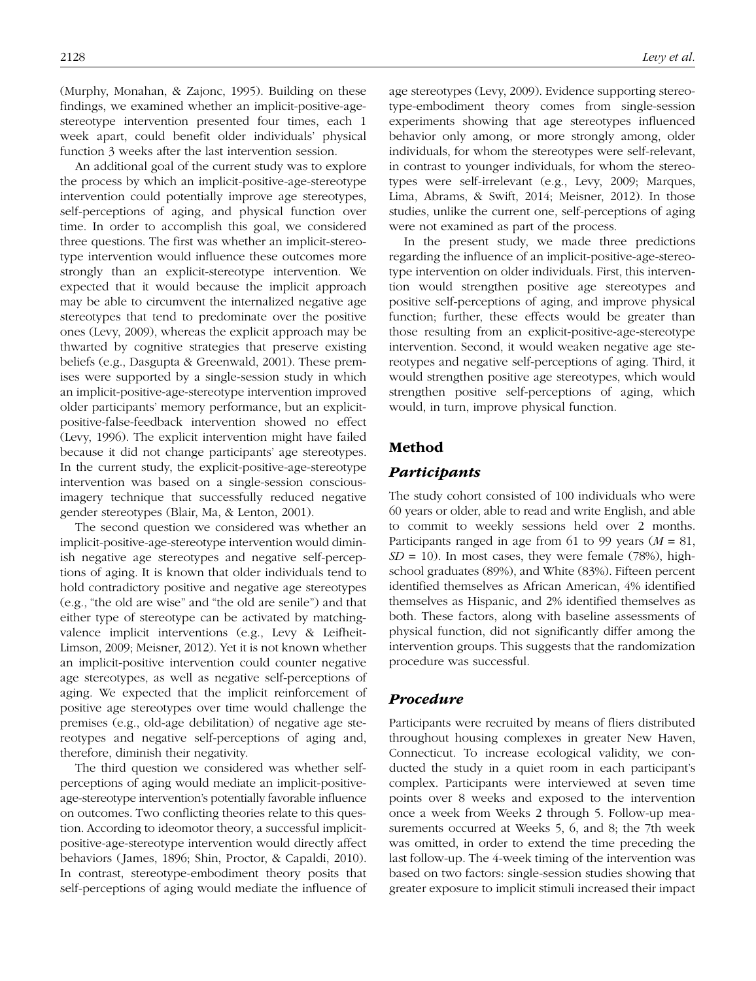(Murphy, Monahan, & Zajonc, 1995). Building on these findings, we examined whether an implicit-positive-agestereotype intervention presented four times, each 1 week apart, could benefit older individuals' physical function 3 weeks after the last intervention session.

An additional goal of the current study was to explore the process by which an implicit-positive-age-stereotype intervention could potentially improve age stereotypes, self-perceptions of aging, and physical function over time. In order to accomplish this goal, we considered three questions. The first was whether an implicit-stereotype intervention would influence these outcomes more strongly than an explicit-stereotype intervention. We expected that it would because the implicit approach may be able to circumvent the internalized negative age stereotypes that tend to predominate over the positive ones (Levy, 2009), whereas the explicit approach may be thwarted by cognitive strategies that preserve existing beliefs (e.g., Dasgupta & Greenwald, 2001). These premises were supported by a single-session study in which an implicit-positive-age-stereotype intervention improved older participants' memory performance, but an explicitpositive-false-feedback intervention showed no effect (Levy, 1996). The explicit intervention might have failed because it did not change participants' age stereotypes. In the current study, the explicit-positive-age-stereotype intervention was based on a single-session consciousimagery technique that successfully reduced negative gender stereotypes (Blair, Ma, & Lenton, 2001).

The second question we considered was whether an implicit-positive-age-stereotype intervention would diminish negative age stereotypes and negative self-perceptions of aging. It is known that older individuals tend to hold contradictory positive and negative age stereotypes (e.g., "the old are wise" and "the old are senile") and that either type of stereotype can be activated by matchingvalence implicit interventions (e.g., Levy & Leifheit-Limson, 2009; Meisner, 2012). Yet it is not known whether an implicit-positive intervention could counter negative age stereotypes, as well as negative self-perceptions of aging. We expected that the implicit reinforcement of positive age stereotypes over time would challenge the premises (e.g., old-age debilitation) of negative age stereotypes and negative self-perceptions of aging and, therefore, diminish their negativity.

The third question we considered was whether selfperceptions of aging would mediate an implicit-positiveage-stereotype intervention's potentially favorable influence on outcomes. Two conflicting theories relate to this question. According to ideomotor theory, a successful implicitpositive-age-stereotype intervention would directly affect behaviors (James, 1896; Shin, Proctor, & Capaldi, 2010). In contrast, stereotype-embodiment theory posits that self-perceptions of aging would mediate the influence of age stereotypes (Levy, 2009). Evidence supporting stereotype-embodiment theory comes from single-session experiments showing that age stereotypes influenced behavior only among, or more strongly among, older individuals, for whom the stereotypes were self-relevant, in contrast to younger individuals, for whom the stereotypes were self-irrelevant (e.g., Levy, 2009; Marques, Lima, Abrams, & Swift, 2014; Meisner, 2012). In those studies, unlike the current one, self-perceptions of aging were not examined as part of the process.

In the present study, we made three predictions regarding the influence of an implicit-positive-age-stereotype intervention on older individuals. First, this intervention would strengthen positive age stereotypes and positive self-perceptions of aging, and improve physical function; further, these effects would be greater than those resulting from an explicit-positive-age-stereotype intervention. Second, it would weaken negative age stereotypes and negative self-perceptions of aging. Third, it would strengthen positive age stereotypes, which would strengthen positive self-perceptions of aging, which would, in turn, improve physical function.

## Method

## *Participants*

The study cohort consisted of 100 individuals who were 60 years or older, able to read and write English, and able to commit to weekly sessions held over 2 months. Participants ranged in age from 61 to 99 years (*M* = 81,  $SD = 10$ ). In most cases, they were female (78%), highschool graduates (89%), and White (83%). Fifteen percent identified themselves as African American, 4% identified themselves as Hispanic, and 2% identified themselves as both. These factors, along with baseline assessments of physical function, did not significantly differ among the intervention groups. This suggests that the randomization procedure was successful.

## *Procedure*

Participants were recruited by means of fliers distributed throughout housing complexes in greater New Haven, Connecticut. To increase ecological validity, we conducted the study in a quiet room in each participant's complex. Participants were interviewed at seven time points over 8 weeks and exposed to the intervention once a week from Weeks 2 through 5. Follow-up measurements occurred at Weeks 5, 6, and 8; the 7th week was omitted, in order to extend the time preceding the last follow-up. The 4-week timing of the intervention was based on two factors: single-session studies showing that greater exposure to implicit stimuli increased their impact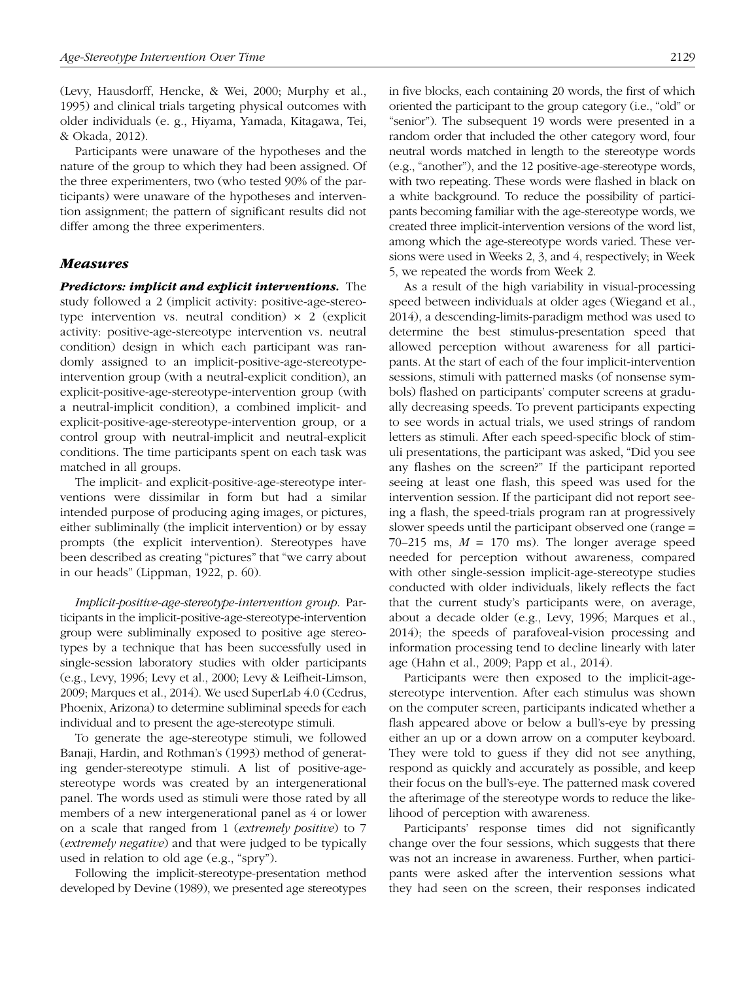(Levy, Hausdorff, Hencke, & Wei, 2000; Murphy et al., 1995) and clinical trials targeting physical outcomes with older individuals (e. g., Hiyama, Yamada, Kitagawa, Tei, & Okada, 2012).

Participants were unaware of the hypotheses and the nature of the group to which they had been assigned. Of the three experimenters, two (who tested 90% of the participants) were unaware of the hypotheses and intervention assignment; the pattern of significant results did not differ among the three experimenters.

#### *Measures*

*Predictors: implicit and explicit interventions.* The study followed a 2 (implicit activity: positive-age-stereotype intervention vs. neutral condition)  $\times$  2 (explicit activity: positive-age-stereotype intervention vs. neutral condition) design in which each participant was randomly assigned to an implicit-positive-age-stereotypeintervention group (with a neutral-explicit condition), an explicit-positive-age-stereotype-intervention group (with a neutral-implicit condition), a combined implicit- and explicit-positive-age-stereotype-intervention group, or a control group with neutral-implicit and neutral-explicit conditions. The time participants spent on each task was matched in all groups.

The implicit- and explicit-positive-age-stereotype interventions were dissimilar in form but had a similar intended purpose of producing aging images, or pictures, either subliminally (the implicit intervention) or by essay prompts (the explicit intervention). Stereotypes have been described as creating "pictures" that "we carry about in our heads" (Lippman, 1922, p. 60).

*Implicit-positive-age-stereotype-intervention group*. Participants in the implicit-positive-age-stereotype-intervention group were subliminally exposed to positive age stereotypes by a technique that has been successfully used in single-session laboratory studies with older participants (e.g., Levy, 1996; Levy et al., 2000; Levy & Leifheit-Limson, 2009; Marques et al., 2014). We used SuperLab 4.0 (Cedrus, Phoenix, Arizona) to determine subliminal speeds for each individual and to present the age-stereotype stimuli.

To generate the age-stereotype stimuli, we followed Banaji, Hardin, and Rothman's (1993) method of generating gender-stereotype stimuli. A list of positive-agestereotype words was created by an intergenerational panel. The words used as stimuli were those rated by all members of a new intergenerational panel as 4 or lower on a scale that ranged from 1 (*extremely positive*) to 7 (*extremely negative*) and that were judged to be typically used in relation to old age (e.g., "spry").

Following the implicit-stereotype-presentation method developed by Devine (1989), we presented age stereotypes in five blocks, each containing 20 words, the first of which oriented the participant to the group category (i.e., "old" or "senior"). The subsequent 19 words were presented in a random order that included the other category word, four neutral words matched in length to the stereotype words (e.g., "another"), and the 12 positive-age-stereotype words, with two repeating. These words were flashed in black on a white background. To reduce the possibility of participants becoming familiar with the age-stereotype words, we created three implicit-intervention versions of the word list, among which the age-stereotype words varied. These versions were used in Weeks 2, 3, and 4, respectively; in Week 5, we repeated the words from Week 2.

As a result of the high variability in visual-processing speed between individuals at older ages (Wiegand et al., 2014), a descending-limits-paradigm method was used to determine the best stimulus-presentation speed that allowed perception without awareness for all participants. At the start of each of the four implicit-intervention sessions, stimuli with patterned masks (of nonsense symbols) flashed on participants' computer screens at gradually decreasing speeds. To prevent participants expecting to see words in actual trials, we used strings of random letters as stimuli. After each speed-specific block of stimuli presentations, the participant was asked, "Did you see any flashes on the screen?" If the participant reported seeing at least one flash, this speed was used for the intervention session. If the participant did not report seeing a flash, the speed-trials program ran at progressively slower speeds until the participant observed one (range =  $70-215$  ms,  $M = 170$  ms). The longer average speed needed for perception without awareness, compared with other single-session implicit-age-stereotype studies conducted with older individuals, likely reflects the fact that the current study's participants were, on average, about a decade older (e.g., Levy, 1996; Marques et al., 2014); the speeds of parafoveal-vision processing and information processing tend to decline linearly with later age (Hahn et al., 2009; Papp et al., 2014).

Participants were then exposed to the implicit-agestereotype intervention. After each stimulus was shown on the computer screen, participants indicated whether a flash appeared above or below a bull's-eye by pressing either an up or a down arrow on a computer keyboard. They were told to guess if they did not see anything, respond as quickly and accurately as possible, and keep their focus on the bull's-eye. The patterned mask covered the afterimage of the stereotype words to reduce the likelihood of perception with awareness.

Participants' response times did not significantly change over the four sessions, which suggests that there was not an increase in awareness. Further, when participants were asked after the intervention sessions what they had seen on the screen, their responses indicated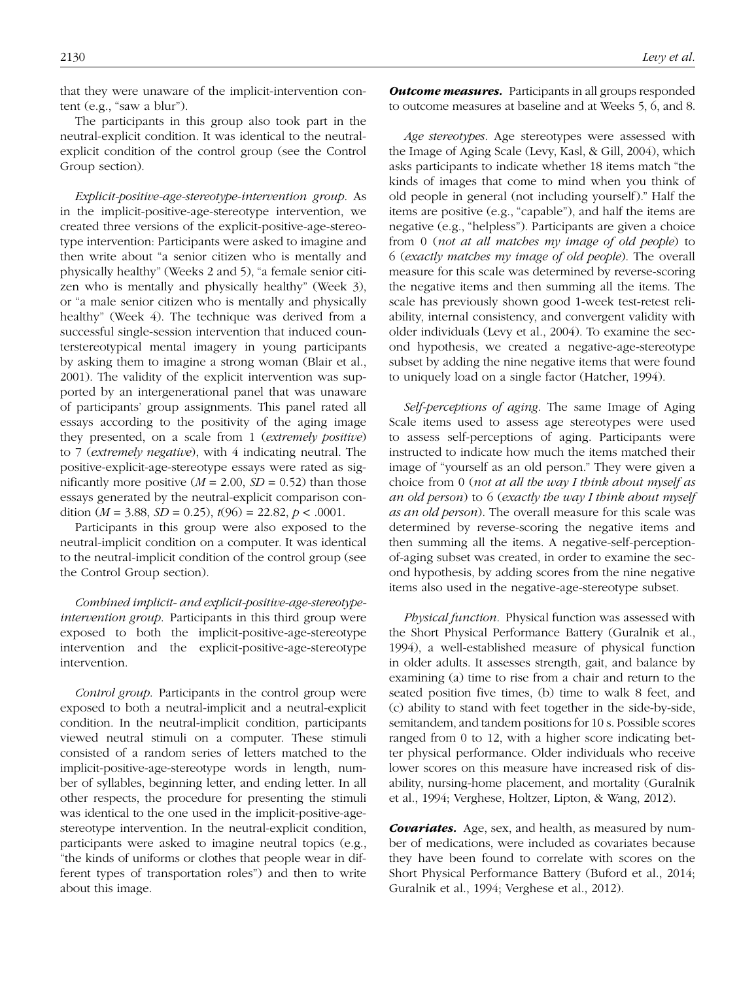that they were unaware of the implicit-intervention content (e.g., "saw a blur").

The participants in this group also took part in the neutral-explicit condition. It was identical to the neutralexplicit condition of the control group (see the Control Group section).

*Explicit-positive-age-stereotype-intervention group*. As in the implicit-positive-age-stereotype intervention, we created three versions of the explicit-positive-age-stereotype intervention: Participants were asked to imagine and then write about "a senior citizen who is mentally and physically healthy" (Weeks 2 and 5), "a female senior citizen who is mentally and physically healthy" (Week 3), or "a male senior citizen who is mentally and physically healthy" (Week 4). The technique was derived from a successful single-session intervention that induced counterstereotypical mental imagery in young participants by asking them to imagine a strong woman (Blair et al., 2001). The validity of the explicit intervention was supported by an intergenerational panel that was unaware of participants' group assignments. This panel rated all essays according to the positivity of the aging image they presented, on a scale from 1 (*extremely positive*) to 7 (*extremely negative*), with 4 indicating neutral. The positive-explicit-age-stereotype essays were rated as significantly more positive  $(M = 2.00, SD = 0.52)$  than those essays generated by the neutral-explicit comparison condition ( $M = 3.88$ ,  $SD = 0.25$ ),  $t(96) = 22.82$ ,  $p < .0001$ .

Participants in this group were also exposed to the neutral-implicit condition on a computer. It was identical to the neutral-implicit condition of the control group (see the Control Group section).

*Combined implicit- and explicit-positive-age-stereotypeintervention group*. Participants in this third group were exposed to both the implicit-positive-age-stereotype intervention and the explicit-positive-age-stereotype intervention.

*Control group*. Participants in the control group were exposed to both a neutral-implicit and a neutral-explicit condition. In the neutral-implicit condition, participants viewed neutral stimuli on a computer. These stimuli consisted of a random series of letters matched to the implicit-positive-age-stereotype words in length, number of syllables, beginning letter, and ending letter. In all other respects, the procedure for presenting the stimuli was identical to the one used in the implicit-positive-agestereotype intervention. In the neutral-explicit condition, participants were asked to imagine neutral topics (e.g., "the kinds of uniforms or clothes that people wear in different types of transportation roles") and then to write about this image.

*Outcome measures.* Participants in all groups responded to outcome measures at baseline and at Weeks 5, 6, and 8.

*Age stereotypes*. Age stereotypes were assessed with the Image of Aging Scale (Levy, Kasl, & Gill, 2004), which asks participants to indicate whether 18 items match "the kinds of images that come to mind when you think of old people in general (not including yourself)." Half the items are positive (e.g., "capable"), and half the items are negative (e.g., "helpless"). Participants are given a choice from 0 (*not at all matches my image of old people*) to 6 (*exactly matches my image of old people*). The overall measure for this scale was determined by reverse-scoring the negative items and then summing all the items. The scale has previously shown good 1-week test-retest reliability, internal consistency, and convergent validity with older individuals (Levy et al., 2004). To examine the second hypothesis, we created a negative-age-stereotype subset by adding the nine negative items that were found to uniquely load on a single factor (Hatcher, 1994).

*Self-perceptions of aging*. The same Image of Aging Scale items used to assess age stereotypes were used to assess self-perceptions of aging. Participants were instructed to indicate how much the items matched their image of "yourself as an old person." They were given a choice from 0 (*not at all the way I think about myself as an old person*) to 6 (*exactly the way I think about myself as an old person*). The overall measure for this scale was determined by reverse-scoring the negative items and then summing all the items. A negative-self-perceptionof-aging subset was created, in order to examine the second hypothesis, by adding scores from the nine negative items also used in the negative-age-stereotype subset.

*Physical function*. Physical function was assessed with the Short Physical Performance Battery (Guralnik et al., 1994), a well-established measure of physical function in older adults. It assesses strength, gait, and balance by examining (a) time to rise from a chair and return to the seated position five times, (b) time to walk 8 feet, and (c) ability to stand with feet together in the side-by-side, semitandem, and tandem positions for 10 s. Possible scores ranged from 0 to 12, with a higher score indicating better physical performance. Older individuals who receive lower scores on this measure have increased risk of disability, nursing-home placement, and mortality (Guralnik et al., 1994; Verghese, Holtzer, Lipton, & Wang, 2012).

*Covariates.* Age, sex, and health, as measured by number of medications, were included as covariates because they have been found to correlate with scores on the Short Physical Performance Battery (Buford et al., 2014; Guralnik et al., 1994; Verghese et al., 2012).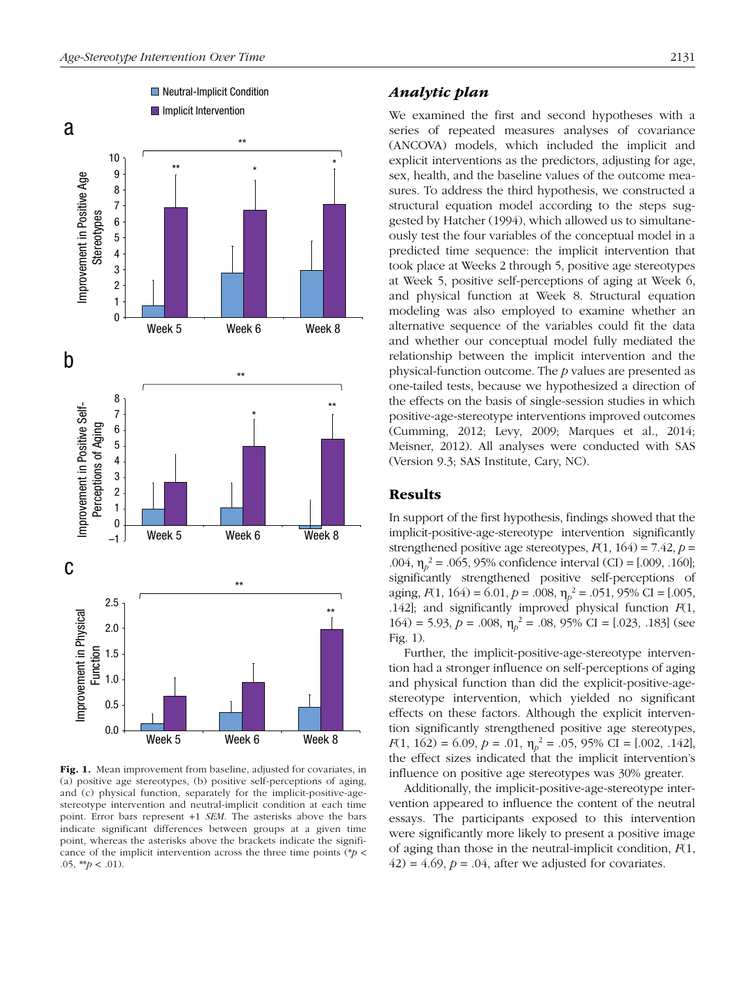

Fig. 1. Mean improvement from baseline, adjusted for covariates, in (a) positive age stereotypes, (b) positive self-perceptions of aging, and (c) physical function, separately for the implicit-positive-agestereotype intervention and neutral-implicit condition at each time point. Error bars represent +1 *SEM*. The asterisks above the bars indicate significant differences between groups at a given time point, whereas the asterisks above the brackets indicate the significance of the implicit intervention across the three time points (\**p* < .05, \*\**p* < .01).

## *Analytic plan*

We examined the first and second hypotheses with a series of repeated measures analyses of covariance (ANCOVA) models, which included the implicit and explicit interventions as the predictors, adjusting for age, sex, health, and the baseline values of the outcome measures. To address the third hypothesis, we constructed a structural equation model according to the steps suggested by Hatcher (1994), which allowed us to simultaneously test the four variables of the conceptual model in a predicted time sequence: the implicit intervention that took place at Weeks 2 through 5, positive age stereotypes at Week 5, positive self-perceptions of aging at Week 6, and physical function at Week 8. Structural equation modeling was also employed to examine whether an alternative sequence of the variables could fit the data and whether our conceptual model fully mediated the relationship between the implicit intervention and the physical-function outcome. The *p* values are presented as one-tailed tests, because we hypothesized a direction of the effects on the basis of single-session studies in which positive-age-stereotype interventions improved outcomes (Cumming, 2012; Levy, 2009; Marques et al., 2014; Meisner, 2012). All analyses were conducted with SAS (Version 9.3; SAS Institute, Cary, NC).

## Results

In support of the first hypothesis, findings showed that the implicit-positive-age-stereotype intervention significantly strengthened positive age stereotypes,  $F(1, 164) = 7.42$ ,  $p =$ .004, η*<sup>p</sup>* 2 = .065, 95% confidence interval (CI) = [.009, .160]; significantly strengthened positive self-perceptions of aging,  $F(1, 164) = 6.01$ ,  $p = .008$ ,  $\eta_p^2 = .051$ , 95% CI = [.005, .142]; and significantly improved physical function *F*(1, 164) = 5.93,  $p = .008$ ,  $\eta_p^2 = .08$ , 95% CI = [.023, .183] (see Fig. 1).

Further, the implicit-positive-age-stereotype intervention had a stronger influence on self-perceptions of aging and physical function than did the explicit-positive-agestereotype intervention, which yielded no significant effects on these factors. Although the explicit intervention significantly strengthened positive age stereotypes, *F*(1, 162) = 6.09, *p* = .01,  $\eta_p^2$  = .05, 95% CI = [.002, .142], the effect sizes indicated that the implicit intervention's influence on positive age stereotypes was 30% greater.

Additionally, the implicit-positive-age-stereotype intervention appeared to influence the content of the neutral essays. The participants exposed to this intervention were significantly more likely to present a positive image of aging than those in the neutral-implicit condition, *F*(1,  $(42) = 4.69$ ,  $p = 0.04$ , after we adjusted for covariates.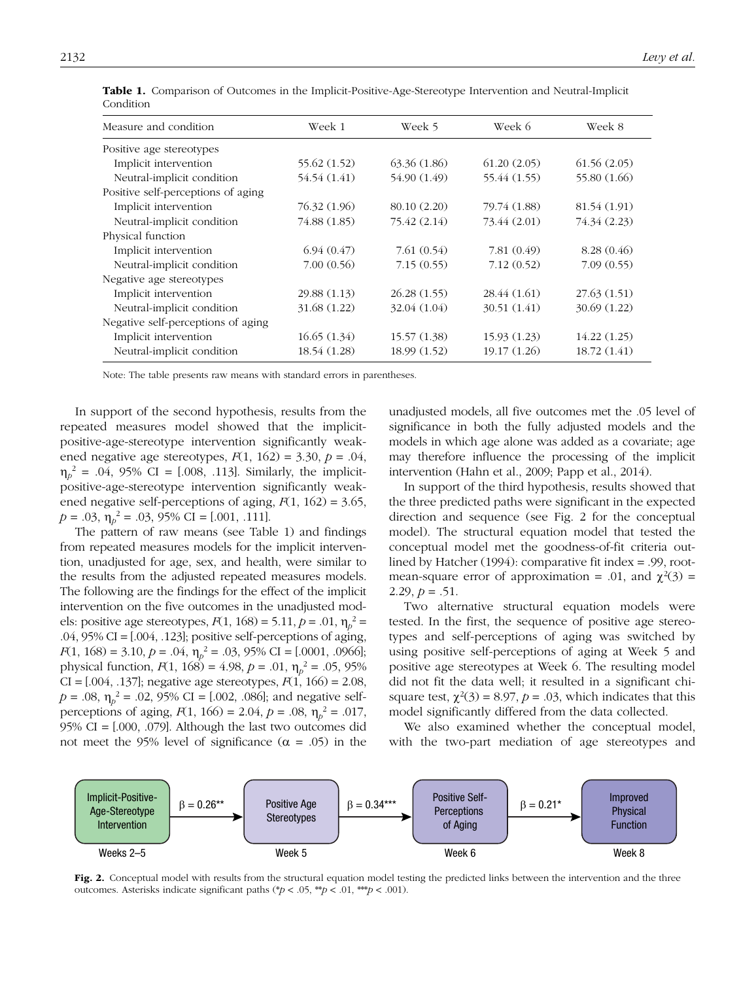| Measure and condition              | Week 1       | Week 5       | Week 6         | Week 8         |
|------------------------------------|--------------|--------------|----------------|----------------|
| Positive age stereotypes           |              |              |                |                |
| Implicit intervention              | 55.62 (1.52) | 63.36(1.86)  | 61.20(2.05)    | 61.56(2.05)    |
| Neutral-implicit condition         | 54.54 (1.41) | 54.90 (1.49) | 55.44 (1.55)   | 55.80 $(1.66)$ |
| Positive self-perceptions of aging |              |              |                |                |
| Implicit intervention              | 76.32 (1.96) | 80.10 (2.20) | 79.74 $(1.88)$ | 81.54 (1.91)   |
| Neutral-implicit condition         | 74.88 (1.85) | 75.42 (2.14) | 73.44 (2.01)   | 74.34 (2.23)   |
| Physical function                  |              |              |                |                |
| Implicit intervention              | 6.94(0.47)   | 7.61(0.54)   | 7.81(0.49)     | 8.28(0.46)     |
| Neutral-implicit condition         | 7.00(0.56)   | 7.15(0.55)   | 7.12(0.52)     | 7.09(0.55)     |
| Negative age stereotypes           |              |              |                |                |
| Implicit intervention              | 29.88 (1.13) | 26.28(1.55)  | 28.44 $(1.61)$ | 27.63(1.51)    |
| Neutral-implicit condition         | 31.68 (1.22) | 32.04 (1.04) | 30.51 $(1.41)$ | 30.69 (1.22)   |
| Negative self-perceptions of aging |              |              |                |                |
| Implicit intervention              | 16.65(1.34)  | 15.57(1.38)  | 15.93(1.23)    | 14.22(1.25)    |
| Neutral-implicit condition         | 18.54 (1.28) | 18.99 (1.52) | 19.17 (1.26)   | 18.72 (1.41)   |

Table 1. Comparison of Outcomes in the Implicit-Positive-Age-Stereotype Intervention and Neutral-Implicit Condition

Note: The table presents raw means with standard errors in parentheses.

In support of the second hypothesis, results from the repeated measures model showed that the implicitpositive-age-stereotype intervention significantly weakened negative age stereotypes,  $F(1, 162) = 3.30, p = .04$ ,  $\eta_p^2 = .04, 95\% \text{ CI} = [.008, .113].$  Similarly, the implicitpositive-age-stereotype intervention significantly weakened negative self-perceptions of aging, *F*(1, 162) = 3.65,  $p = .03$ ,  $\eta_p^2 = .03$ , 95% CI = [.001, .111].

The pattern of raw means (see Table 1) and findings from repeated measures models for the implicit intervention, unadjusted for age, sex, and health, were similar to the results from the adjusted repeated measures models. The following are the findings for the effect of the implicit intervention on the five outcomes in the unadjusted models: positive age stereotypes, *F*(1, 168) = 5.11, *p* = .01,  $\eta_p^2$  = .04, 95% CI = [.004, .123]; positive self-perceptions of aging, *F*(1, 168) = 3.10, *p* = .04,  $\eta_p^2$  = .03, 95% CI = [.0001, .0966]; physical function,  $F(1, 168) = 4.98$ ,  $p = .01$ ,  $\eta_p^2 = .05$ , 95% CI = [.004, .137]; negative age stereotypes, *F*(1, 166) = 2.08,  $p = .08$ ,  $\eta_p^2 = .02$ , 95% CI = [.002, .086]; and negative selfperceptions of aging,  $F(1, 166) = 2.04$ ,  $p = .08$ ,  $\eta_p^2 = .017$ , 95% CI = [.000, .079]. Although the last two outcomes did not meet the 95% level of significance ( $α = .05$ ) in the

unadjusted models, all five outcomes met the .05 level of significance in both the fully adjusted models and the models in which age alone was added as a covariate; age may therefore influence the processing of the implicit intervention (Hahn et al., 2009; Papp et al., 2014).

In support of the third hypothesis, results showed that the three predicted paths were significant in the expected direction and sequence (see Fig. 2 for the conceptual model). The structural equation model that tested the conceptual model met the goodness-of-fit criteria outlined by Hatcher (1994): comparative fit index = .99, rootmean-square error of approximation = .01, and  $\chi^2(3)$  = 2.29,  $p = .51$ .

Two alternative structural equation models were tested. In the first, the sequence of positive age stereotypes and self-perceptions of aging was switched by using positive self-perceptions of aging at Week 5 and positive age stereotypes at Week 6. The resulting model did not fit the data well; it resulted in a significant chisquare test,  $\chi^2(3) = 8.97$ ,  $p = .03$ , which indicates that this model significantly differed from the data collected.

We also examined whether the conceptual model, with the two-part mediation of age stereotypes and



Fig. 2. Conceptual model with results from the structural equation model testing the predicted links between the intervention and the three outcomes. Asterisks indicate significant paths (\**p* < .05, \*\**p* < .01, \*\*\**p* < .001).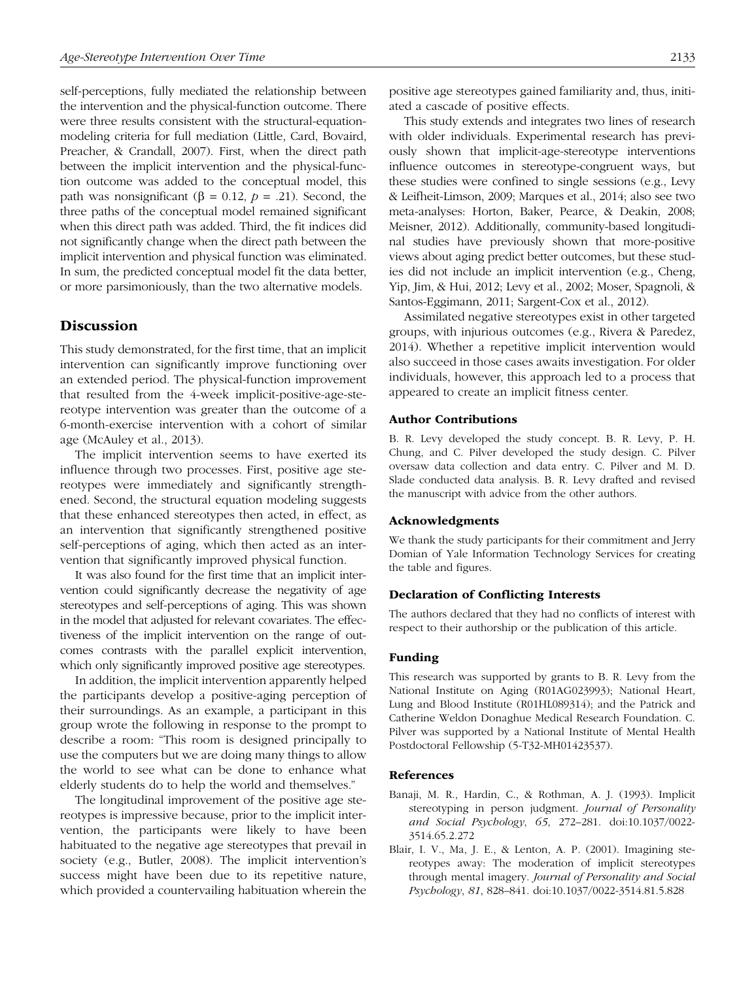self-perceptions, fully mediated the relationship between the intervention and the physical-function outcome. There were three results consistent with the structural-equationmodeling criteria for full mediation (Little, Card, Bovaird, Preacher, & Crandall, 2007). First, when the direct path between the implicit intervention and the physical-function outcome was added to the conceptual model, this path was nonsignificant (β = 0.12,  $p = .21$ ). Second, the three paths of the conceptual model remained significant when this direct path was added. Third, the fit indices did not significantly change when the direct path between the implicit intervention and physical function was eliminated. In sum, the predicted conceptual model fit the data better, or more parsimoniously, than the two alternative models.

## **Discussion**

This study demonstrated, for the first time, that an implicit intervention can significantly improve functioning over an extended period. The physical-function improvement that resulted from the 4-week implicit-positive-age-stereotype intervention was greater than the outcome of a 6-month-exercise intervention with a cohort of similar age (McAuley et al., 2013).

The implicit intervention seems to have exerted its influence through two processes. First, positive age stereotypes were immediately and significantly strengthened. Second, the structural equation modeling suggests that these enhanced stereotypes then acted, in effect, as an intervention that significantly strengthened positive self-perceptions of aging, which then acted as an intervention that significantly improved physical function.

It was also found for the first time that an implicit intervention could significantly decrease the negativity of age stereotypes and self-perceptions of aging. This was shown in the model that adjusted for relevant covariates. The effectiveness of the implicit intervention on the range of outcomes contrasts with the parallel explicit intervention, which only significantly improved positive age stereotypes.

In addition, the implicit intervention apparently helped the participants develop a positive-aging perception of their surroundings. As an example, a participant in this group wrote the following in response to the prompt to describe a room: "This room is designed principally to use the computers but we are doing many things to allow the world to see what can be done to enhance what elderly students do to help the world and themselves."

The longitudinal improvement of the positive age stereotypes is impressive because, prior to the implicit intervention, the participants were likely to have been habituated to the negative age stereotypes that prevail in society (e.g., Butler, 2008). The implicit intervention's success might have been due to its repetitive nature, which provided a countervailing habituation wherein the

positive age stereotypes gained familiarity and, thus, initiated a cascade of positive effects.

This study extends and integrates two lines of research with older individuals. Experimental research has previously shown that implicit-age-stereotype interventions influence outcomes in stereotype-congruent ways, but these studies were confined to single sessions (e.g., Levy & Leifheit-Limson, 2009; Marques et al., 2014; also see two meta-analyses: Horton, Baker, Pearce, & Deakin, 2008; Meisner, 2012). Additionally, community-based longitudinal studies have previously shown that more-positive views about aging predict better outcomes, but these studies did not include an implicit intervention (e.g., Cheng, Yip, Jim, & Hui, 2012; Levy et al., 2002; Moser, Spagnoli, & Santos-Eggimann, 2011; Sargent-Cox et al., 2012).

Assimilated negative stereotypes exist in other targeted groups, with injurious outcomes (e.g., Rivera & Paredez, 2014). Whether a repetitive implicit intervention would also succeed in those cases awaits investigation. For older individuals, however, this approach led to a process that appeared to create an implicit fitness center.

#### Author Contributions

B. R. Levy developed the study concept. B. R. Levy, P. H. Chung, and C. Pilver developed the study design. C. Pilver oversaw data collection and data entry. C. Pilver and M. D. Slade conducted data analysis. B. R. Levy drafted and revised the manuscript with advice from the other authors.

#### Acknowledgments

We thank the study participants for their commitment and Jerry Domian of Yale Information Technology Services for creating the table and figures.

#### Declaration of Conflicting Interests

The authors declared that they had no conflicts of interest with respect to their authorship or the publication of this article.

#### Funding

This research was supported by grants to B. R. Levy from the National Institute on Aging (R01AG023993); National Heart, Lung and Blood Institute (R01HL089314); and the Patrick and Catherine Weldon Donaghue Medical Research Foundation. C. Pilver was supported by a National Institute of Mental Health Postdoctoral Fellowship (5-T32-MH01423537).

#### References

- Banaji, M. R., Hardin, C., & Rothman, A. J. (1993). Implicit stereotyping in person judgment. *Journal of Personality and Social Psychology*, *65*, 272–281. doi:10.1037/0022- 3514.65.2.272
- Blair, I. V., Ma, J. E., & Lenton, A. P. (2001). Imagining stereotypes away: The moderation of implicit stereotypes through mental imagery. *Journal of Personality and Social Psychology*, *81*, 828–841. doi:10.1037/0022-3514.81.5.828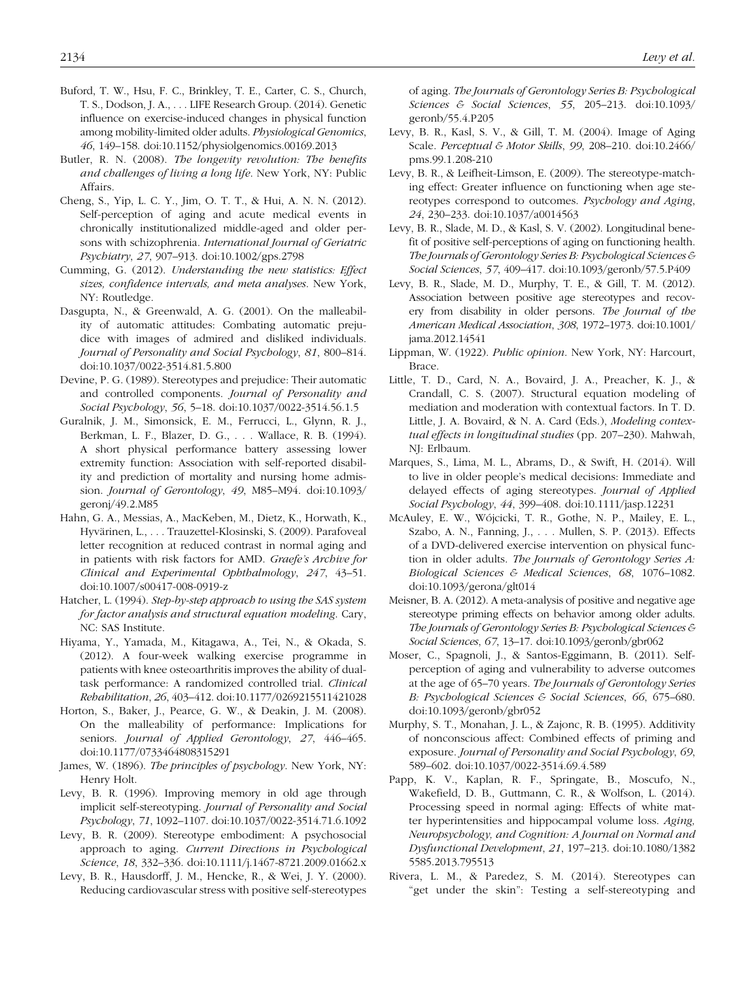- Buford, T. W., Hsu, F. C., Brinkley, T. E., Carter, C. S., Church, T. S., Dodson, J. A., . . . LIFE Research Group. (2014). Genetic influence on exercise-induced changes in physical function among mobility-limited older adults. *Physiological Genomics*, *46*, 149–158. doi:10.1152/physiolgenomics.00169.2013
- Butler, R. N. (2008). *The longevity revolution: The benefits and challenges of living a long life*. New York, NY: Public Affairs.
- Cheng, S., Yip, L. C. Y., Jim, O. T. T., & Hui, A. N. N. (2012). Self-perception of aging and acute medical events in chronically institutionalized middle-aged and older persons with schizophrenia. *International Journal of Geriatric Psychiatry*, *27*, 907–913. doi:10.1002/gps.2798
- Cumming, G. (2012). *Understanding the new statistics: Effect sizes, confidence intervals, and meta analyses*. New York, NY: Routledge.
- Dasgupta, N., & Greenwald, A. G. (2001). On the malleability of automatic attitudes: Combating automatic prejudice with images of admired and disliked individuals. *Journal of Personality and Social Psychology*, *81*, 800–814. doi:10.1037/0022-3514.81.5.800
- Devine, P. G. (1989). Stereotypes and prejudice: Their automatic and controlled components. *Journal of Personality and Social Psychology*, *56*, 5–18. doi:10.1037/0022-3514.56.1.5
- Guralnik, J. M., Simonsick, E. M., Ferrucci, L., Glynn, R. J., Berkman, L. F., Blazer, D. G., . . . Wallace, R. B. (1994). A short physical performance battery assessing lower extremity function: Association with self-reported disability and prediction of mortality and nursing home admission. *Journal of Gerontology*, *49*, M85–M94. doi:10.1093/ geronj/49.2.M85
- Hahn, G. A., Messias, A., MacKeben, M., Dietz, K., Horwath, K., Hyvärinen, L., . . . Trauzettel-Klosinski, S. (2009). Parafoveal letter recognition at reduced contrast in normal aging and in patients with risk factors for AMD. *Graefe's Archive for Clinical and Experimental Ophthalmology*, *247*, 43–51. doi:10.1007/s00417-008-0919-z
- Hatcher, L. (1994). *Step-by-step approach to using the SAS system for factor analysis and structural equation modeling*. Cary, NC: SAS Institute.
- Hiyama, Y., Yamada, M., Kitagawa, A., Tei, N., & Okada, S. (2012). A four-week walking exercise programme in patients with knee osteoarthritis improves the ability of dualtask performance: A randomized controlled trial. *Clinical Rehabilitation*, *26*, 403–412. doi:10.1177/0269215511421028
- Horton, S., Baker, J., Pearce, G. W., & Deakin, J. M. (2008). On the malleability of performance: Implications for seniors. *Journal of Applied Gerontology*, *27*, 446–465. doi:10.1177/0733464808315291
- James, W. (1896). *The principles of psychology*. New York, NY: Henry Holt.
- Levy, B. R. (1996). Improving memory in old age through implicit self-stereotyping. *Journal of Personality and Social Psychology*, *71*, 1092–1107. doi:10.1037/0022-3514.71.6.1092
- Levy, B. R. (2009). Stereotype embodiment: A psychosocial approach to aging. *Current Directions in Psychological Science*, *18*, 332–336. doi:10.1111/j.1467-8721.2009.01662.x
- Levy, B. R., Hausdorff, J. M., Hencke, R., & Wei, J. Y. (2000). Reducing cardiovascular stress with positive self-stereotypes

of aging. *The Journals of Gerontology Series B: Psychological Sciences & Social Sciences*, *55*, 205–213. doi:10.1093/ geronb/55.4.P205

- Levy, B. R., Kasl, S. V., & Gill, T. M. (2004). Image of Aging Scale. *Perceptual & Motor Skills*, *99*, 208–210. doi:10.2466/ pms.99.1.208-210
- Levy, B. R., & Leifheit-Limson, E. (2009). The stereotype-matching effect: Greater influence on functioning when age stereotypes correspond to outcomes. *Psychology and Aging*, *24*, 230–233. doi:10.1037/a0014563
- Levy, B. R., Slade, M. D., & Kasl, S. V. (2002). Longitudinal benefit of positive self-perceptions of aging on functioning health. *The Journals of Gerontology Series B: Psychological Sciences & Social Sciences*, *57*, 409–417. doi:10.1093/geronb/57.5.P409
- Levy, B. R., Slade, M. D., Murphy, T. E., & Gill, T. M. (2012). Association between positive age stereotypes and recovery from disability in older persons. *The Journal of the American Medical Association*, *308*, 1972–1973. doi:10.1001/ jama.2012.14541
- Lippman, W. (1922). *Public opinion*. New York, NY: Harcourt, Brace.
- Little, T. D., Card, N. A., Bovaird, J. A., Preacher, K. J., & Crandall, C. S. (2007). Structural equation modeling of mediation and moderation with contextual factors. In T. D. Little, J. A. Bovaird, & N. A. Card (Eds.), *Modeling contextual effects in longitudinal studies* (pp. 207–230). Mahwah, NJ: Erlbaum.
- Marques, S., Lima, M. L., Abrams, D., & Swift, H. (2014). Will to live in older people's medical decisions: Immediate and delayed effects of aging stereotypes. *Journal of Applied Social Psychology*, *44*, 399–408. doi:10.1111/jasp.12231
- McAuley, E. W., Wójcicki, T. R., Gothe, N. P., Mailey, E. L., Szabo, A. N., Fanning, J., . . . Mullen, S. P. (2013). Effects of a DVD-delivered exercise intervention on physical function in older adults. *The Journals of Gerontology Series A: Biological Sciences & Medical Sciences*, *68*, 1076–1082. doi:10.1093/gerona/glt014
- Meisner, B. A. (2012). A meta-analysis of positive and negative age stereotype priming effects on behavior among older adults. *The Journals of Gerontology Series B: Psychological Sciences & Social Sciences*, *67*, 13–17. doi:10.1093/geronb/gbr062
- Moser, C., Spagnoli, J., & Santos-Eggimann, B. (2011). Selfperception of aging and vulnerability to adverse outcomes at the age of 65–70 years. *The Journals of Gerontology Series B: Psychological Sciences & Social Sciences*, *66*, 675–680. doi:10.1093/geronb/gbr052
- Murphy, S. T., Monahan, J. L., & Zajonc, R. B. (1995). Additivity of nonconscious affect: Combined effects of priming and exposure. *Journal of Personality and Social Psychology*, *69*, 589–602. doi:10.1037/0022-3514.69.4.589
- Papp, K. V., Kaplan, R. F., Springate, B., Moscufo, N., Wakefield, D. B., Guttmann, C. R., & Wolfson, L. (2014). Processing speed in normal aging: Effects of white matter hyperintensities and hippocampal volume loss. *Aging, Neuropsychology, and Cognition: A Journal on Normal and Dysfunctional Development*, *21*, 197–213. doi:10.1080/1382 5585.2013.795513
- Rivera, L. M., & Paredez, S. M. (2014). Stereotypes can "get under the skin": Testing a self-stereotyping and